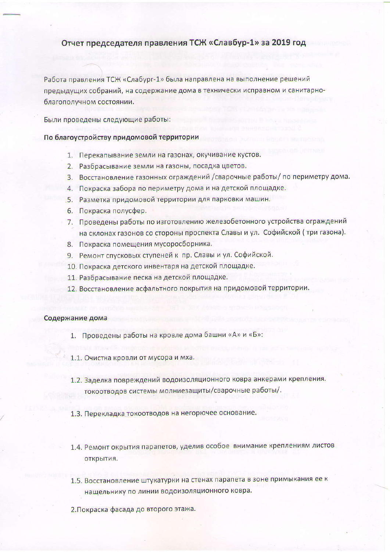## Отчет председателя правления ТСЖ «Славбур-1» за 2019 год

Работа правления ТСЖ «Слабург-1» была направлена на выполнение решений предыдущих собраний, на содержание дома в технически исправном и санитарноблагополучном состоянии.

Были проведены следующие работы:

## По благоустройству придомовой территории

- 1. Перекапывание земли на газонах, окучивание кустов.
- 2. Разбрасывание земли на газоны, посадка цветов.
- 3. Восстановление газонных ограждений /сварочные работы/ по периметру дома.
- 4. Покраска забора по периметру дома и на детской площадке.
- 5. Разметка придомовой территории для парковки машин.
- 6. Покраска полусфер.
- 7. Проведены работы по изготовлению железобетонного устройства ограждений на склонах газонов со стороны проспекта Славы и ул. Софийской (три газона).
- 8. Покраска помещения мусоросборника.
- 9. Ремонт спусковых ступеней к пр. Славы и ул. Софийской.
- 10. Покраска детского инвентаря на детской площадке.
- 11. Разбрасывание песка на детской площадке.
- 12. Восстановление асфальтного покрытия на придомовой территории.

## Содержание дома

- 1. Проведены работы на кровле дома башни «А» и «Б»:
- 1.1. Очистка кровли от мусора и мха.
- 1.2. Заделка повреждений водоизоляционного ковра анкерами крепления. токоотводов системы молниезащиты/сварочные работы/.
- 1.3. Перекладка токоотводов на негорючее основание.
- 1.4. Ремонт окрытия парапетов, уделив особое внимание креплениям листов открытия.
- 1.5. Восстановление штукатурки на стенах парапета в зоне примыкания ее к нащельнику по линии водоизоляционного ковра.
- 2. Покраска фасада до второго этажа.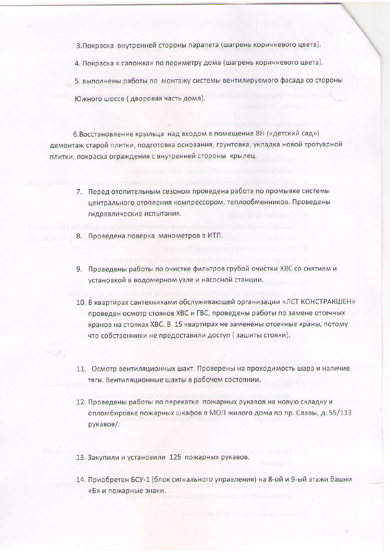3. Покраска внутренней стороны парапета (шагрень коричневого цвета).

4. Покраска « сапожка» по периметру дома (шагрень коричневого цвета).

5. выполнены работы по монтажу системы вентилируемого фасада со стороны

Южного шоссе (дворовая часть дома).

6. Восстановление крыльца над входом в помещение 8Н («детский сад») демонтаж старой плитки, подготовка основания, грунтовка, укладка новой тротуарной плитки, покраска ограждения с внутренней стороны крылец.

- 7. Перед отопительным сезоном проведена работа по промывке системы центрального отопления компрессором, теплообменников. Проведены гидравлические испытания.
- 8. Проведена поверка манометров в ИТП.
- 9. Проведены работы по очистке фильтров грубой очистки ХВС со снятием и установкой в водомерном узле и насосной станции.
- 10. В квартирах сантехниками обслуживающей организации «ЛСТ КОНСТРАКШЕН» проведен осмотр стояков ХВС и ГВС, проведены работы по замене отсечных кранов на стояках ХВС. В 15 квартирах не заменены отсечные краны, потому что собственники не предоставили доступ (зашиты стояки).
- 11. Осмотр вентиляционных шахт. Проверены на проходимость шара и наличие тяги. Вентиляционные шахты в рабочем состоянии.
- 12. Проведены работы по перекатке пожарных рукавов на новую складку и опломбировке пожарных шкафов в МОП жилого дома по пр. Славы, д. 55/113 рукавов/.
- 13. Закупили и установили 125 пожарных рукавов.
- 14. Приобретен БСУ-1 (блок сигнального управления) на 8-ой и 9-ый этажи башни «Б» и пожарные знаки.